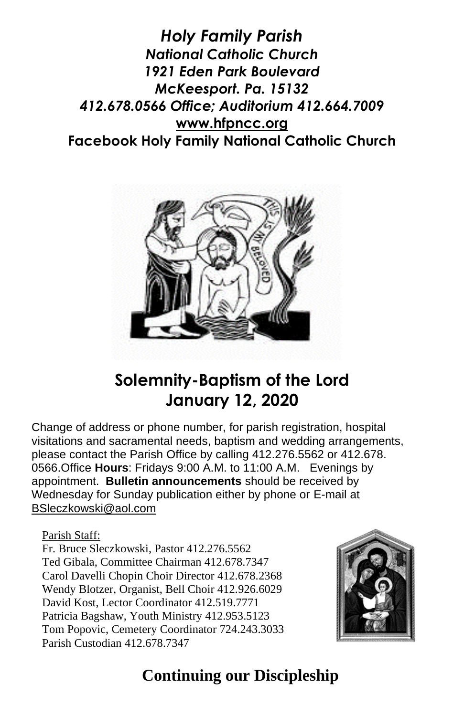*Holy Family Parish National Catholic Church 1921 Eden Park Boulevard McKeesport. Pa. 15132 412.678.0566 Office; Auditorium 412.664.7009* **[www.hfpncc.org](http://www.hfpncc.org/) Facebook Holy Family National Catholic Church**



# **Solemnity-Baptism of the Lord January 12, 2020**

Change of address or phone number, for parish registration, hospital visitations and sacramental needs, baptism and wedding arrangements, please contact the Parish Office by calling 412.276.5562 or 412.678. 0566.Office **Hours**: Fridays 9:00 A.M. to 11:00 A.M. Evenings by appointment. **Bulletin announcements** should be received by Wednesday for Sunday publication either by phone or E-mail at [BSleczkowski@aol.com](mailto:BSleczkowski@aol.com)

Parish Staff:

Fr. Bruce Sleczkowski, Pastor 412.276.5562 Ted Gibala, Committee Chairman 412.678.7347 Carol Davelli Chopin Choir Director 412.678.2368 Wendy Blotzer, Organist, Bell Choir 412.926.6029 David Kost, Lector Coordinator 412.519.7771 Patricia Bagshaw, Youth Ministry 412.953.5123 Tom Popovic, Cemetery Coordinator 724.243.3033 Parish Custodian 412.678.7347



# **Continuing our Discipleship**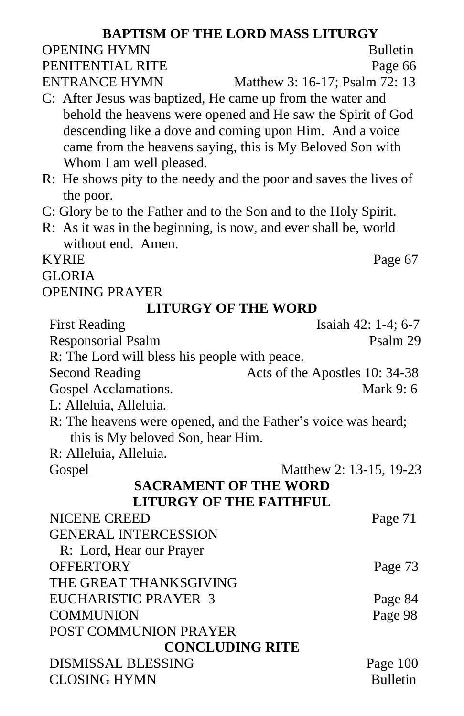| <b>BAPTISM OF THE LORD MASS LITURGY</b>                           |                                |  |
|-------------------------------------------------------------------|--------------------------------|--|
| <b>OPENING HYMN</b>                                               | <b>Bulletin</b>                |  |
| PENITENTIAL RITE                                                  | Page 66                        |  |
| <b>ENTRANCE HYMN</b>                                              | Matthew 3: 16-17; Psalm 72: 13 |  |
| C: After Jesus was baptized, He came up from the water and        |                                |  |
| behold the heavens were opened and He saw the Spirit of God       |                                |  |
| descending like a dove and coming upon Him. And a voice           |                                |  |
| came from the heavens saying, this is My Beloved Son with         |                                |  |
| Whom I am well pleased.                                           |                                |  |
| R: He shows pity to the needy and the poor and saves the lives of |                                |  |
| the poor.                                                         |                                |  |
| C: Glory be to the Father and to the Son and to the Holy Spirit.  |                                |  |
| R: As it was in the beginning, is now, and ever shall be, world   |                                |  |
| without end. Amen.                                                |                                |  |
| <b>KYRIE</b>                                                      | Page 67                        |  |
| <b>GLORIA</b>                                                     |                                |  |
| <b>OPENING PRAYER</b>                                             |                                |  |
| <b>LITURGY OF THE WORD</b>                                        |                                |  |
| <b>First Reading</b>                                              | Isaiah 42: 1-4; 6-7            |  |
| <b>Responsorial Psalm</b>                                         | Psalm 29                       |  |
| R: The Lord will bless his people with peace.                     |                                |  |
| <b>Second Reading</b>                                             | Acts of the Apostles 10: 34-38 |  |
| Gospel Acclamations.                                              | Mark 9: 6                      |  |
| L: Alleluia, Alleluia.                                            |                                |  |
| R: The heavens were opened, and the Father's voice was heard;     |                                |  |
| this is My beloved Son, hear Him.<br>R: Alleluia, Alleluia.       |                                |  |
| Gospel                                                            | Matthew 2: 13-15, 19-23        |  |
| <b>SACRAMENT OF THE WORD</b>                                      |                                |  |
| <b>LITURGY OF THE FAITHFUL</b>                                    |                                |  |
| <b>NICENE CREED</b>                                               | Page 71                        |  |
| <b>GENERAL INTERCESSION</b>                                       |                                |  |
| R: Lord, Hear our Prayer                                          |                                |  |
| <b>OFFERTORY</b>                                                  | Page 73                        |  |
| THE GREAT THANKSGIVING                                            |                                |  |
| <b>EUCHARISTIC PRAYER 3</b>                                       | Page 84                        |  |
| <b>COMMUNION</b>                                                  | Page 98                        |  |
| POST COMMUNION PRAYER                                             |                                |  |
| <b>CONCLUDING RITE</b>                                            |                                |  |
| <b>DISMISSAL BLESSING</b>                                         | Page 100                       |  |
| <b>CLOSING HYMN</b>                                               | <b>Bulletin</b>                |  |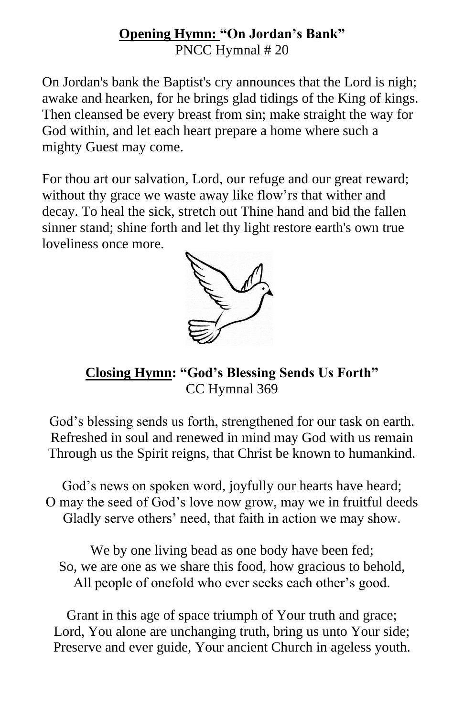#### **Opening Hymn: "On Jordan's Bank"** PNCC Hymnal # 20

On Jordan's bank the Baptist's cry announces that the Lord is nigh; awake and hearken, for he brings glad tidings of the King of kings. Then cleansed be every breast from sin; make straight the way for God within, and let each heart prepare a home where such a mighty Guest may come.

For thou art our salvation, Lord, our refuge and our great reward; without thy grace we waste away like flow'rs that wither and decay. To heal the sick, stretch out Thine hand and bid the fallen sinner stand; shine forth and let thy light restore earth's own true loveliness once more.



**Closing Hymn: "God's Blessing Sends Us Forth"** CC Hymnal 369

God's blessing sends us forth, strengthened for our task on earth. Refreshed in soul and renewed in mind may God with us remain Through us the Spirit reigns, that Christ be known to humankind.

God's news on spoken word, joyfully our hearts have heard; O may the seed of God's love now grow, may we in fruitful deeds Gladly serve others' need, that faith in action we may show.

We by one living bead as one body have been fed; So, we are one as we share this food, how gracious to behold, All people of onefold who ever seeks each other's good.

Grant in this age of space triumph of Your truth and grace; Lord, You alone are unchanging truth, bring us unto Your side; Preserve and ever guide, Your ancient Church in ageless youth.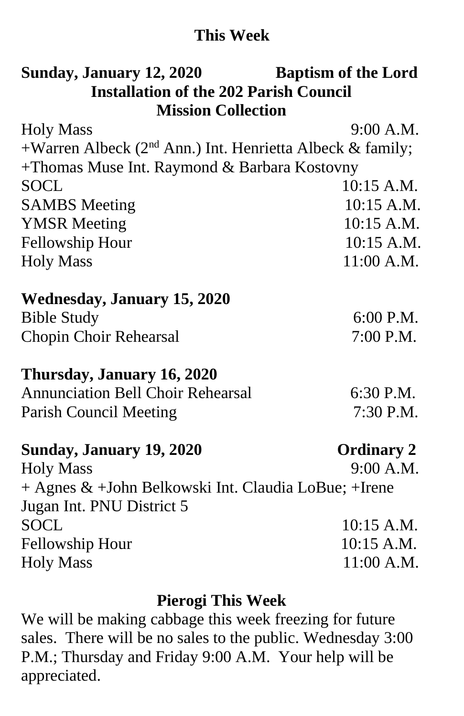## **This Week**

# **Sunday, January 12, 2020 Baptism of the Lord Installation of the 202 Parish Council Mission Collection**

| <b>Holy Mass</b>                                             | 9:00 A.M.         |
|--------------------------------------------------------------|-------------------|
| +Warren Albeck ( $2nd$ Ann.) Int. Henrietta Albeck & family; |                   |
| +Thomas Muse Int. Raymond & Barbara Kostovny                 |                   |
| <b>SOCL</b>                                                  | 10:15 A.M.        |
| <b>SAMBS</b> Meeting                                         | 10:15 A.M.        |
| <b>YMSR</b> Meeting                                          | 10:15 A.M.        |
| Fellowship Hour                                              | 10:15 A.M.        |
| <b>Holy Mass</b>                                             | 11:00 A.M.        |
| <b>Wednesday, January 15, 2020</b>                           |                   |
| <b>Bible Study</b>                                           | 6:00 P.M.         |
| Chopin Choir Rehearsal                                       | 7:00 P.M.         |
| Thursday, January 16, 2020                                   |                   |
| <b>Annunciation Bell Choir Rehearsal</b>                     | 6:30 P.M.         |
| <b>Parish Council Meeting</b>                                | 7:30 P.M.         |
| Sunday, January 19, 2020                                     | <b>Ordinary 2</b> |
| <b>Holy Mass</b>                                             | 9:00 A.M.         |
| + Agnes & +John Belkowski Int. Claudia LoBue; +Irene         |                   |
| Jugan Int. PNU District 5                                    |                   |
| <b>SOCL</b>                                                  | 10:15 A.M.        |
| Fellowship Hour                                              | 10:15 A.M.        |
| <b>Holy Mass</b>                                             | $11:00$ A.M.      |

### **Pierogi This Week**

We will be making cabbage this week freezing for future sales. There will be no sales to the public. Wednesday 3:00 P.M.; Thursday and Friday 9:00 A.M. Your help will be appreciated.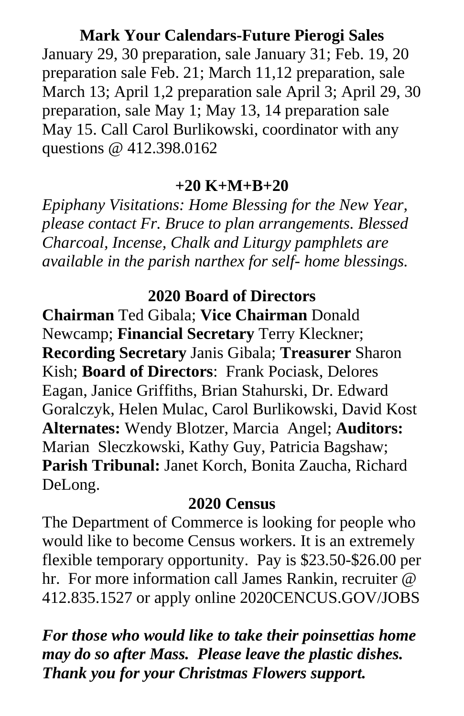#### **Mark Your Calendars-Future Pierogi Sales**

January 29, 30 preparation, sale January 31; Feb. 19, 20 preparation sale Feb. 21; March 11,12 preparation, sale March 13; April 1,2 preparation sale April 3; April 29, 30 preparation, sale May 1; May 13, 14 preparation sale May 15. Call Carol Burlikowski, coordinator with any questions @ 412.398.0162

#### **+20 K+M+B+20**

*Epiphany Visitations: Home Blessing for the New Year, please contact Fr. Bruce to plan arrangements. Blessed Charcoal, Incense, Chalk and Liturgy pamphlets are available in the parish narthex for self- home blessings.*

## **2020 Board of Directors**

**Chairman** Ted Gibala; **Vice Chairman** Donald Newcamp; **Financial Secretary** Terry Kleckner; **Recording Secretary** Janis Gibala; **Treasurer** Sharon Kish; **Board of Directors**: Frank Pociask, Delores Eagan, Janice Griffiths, Brian Stahurski, Dr. Edward Goralczyk, Helen Mulac, Carol Burlikowski, David Kost **Alternates:** Wendy Blotzer, Marcia Angel; **Auditors:** Marian Sleczkowski, Kathy Guy, Patricia Bagshaw; **Parish Tribunal:** Janet Korch, Bonita Zaucha, Richard DeLong.

#### **2020 Census**

The Department of Commerce is looking for people who would like to become Census workers. It is an extremely flexible temporary opportunity. Pay is \$23.50-\$26.00 per hr. For more information call James Rankin, recruiter @ 412.835.1527 or apply online 2020CENCUS.GOV/JOBS

*For those who would like to take their poinsettias home may do so after Mass. Please leave the plastic dishes. Thank you for your Christmas Flowers support.*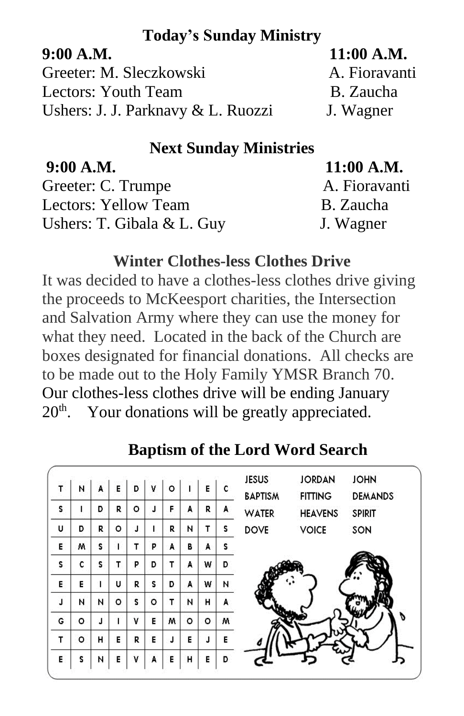## **Today's Sunday Ministry**

**9:00 A.M. 11:00 A.M.** Greeter: M. Sleczkowski A. Fioravanti Lectors: Youth Team B. Zaucha Ushers: J. J. Parknavy & L. Ruozzi J. Wagner

# **Next Sunday Ministries**

| 9:00 A.M.                    | $11:00$ A.M.  |
|------------------------------|---------------|
| Greeter: C. Trumpe           | A. Fioravanti |
| Lectors: Yellow Team         | B. Zaucha     |
| Ushers: T. Gibala $&$ L. Guy | J. Wagner     |

#### **Winter Clothes-less Clothes Drive**

It was decided to have a clothes-less clothes drive giving the proceeds to McKeesport charities, the Intersection and Salvation Army where they can use the money for what they need. Located in the back of the Church are boxes designated for financial donations. All checks are to be made out to the Holy Family YMSR Branch 70. Our clothes-less clothes drive will be ending January 20<sup>th</sup>. Your donations will be greatly appreciated.

#### **JOHN JESUS JORDAN** E. D. T N. v  $\circ$ T É A c **BAPTISM DEMANDS FITTING** J. s  $\mathbf{I}$ D R  $\circ$ F A R A **WATER HEAVENS SPIRIT** Ù D R. o. T.  $\mathbf{I}$ R N T. s. **DOVE VOICE** SON T  $\mathbf{T}$ P Ë. š. E. W. s. A Å T. Þ. T. A D s. c s. D W Ē. E. T U. R s. D A W N  $\circ$  $\mathbf{r}$ Ä  $\blacksquare$ N N  $\circ$ s. N H. T v M G o. ď. Е M  $\circ$  $\circ$ T  $\circ$ H. Ë. R E. J. E J Ë N E H Ė. Ď E. s A E

# **Baptism of the Lord Word Search**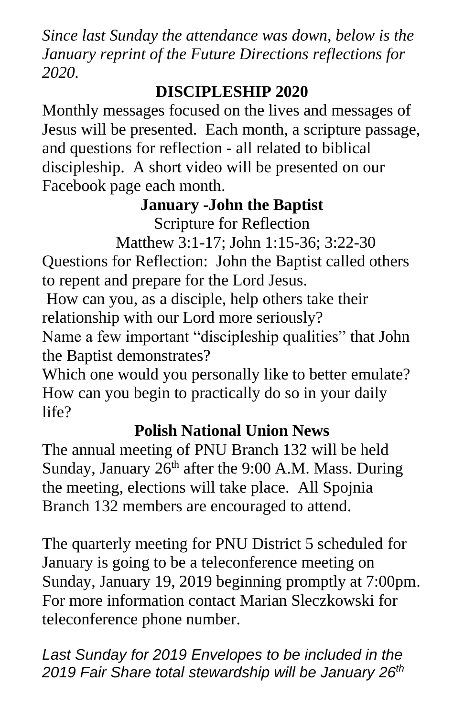*Since last Sunday the attendance was down, below is the January reprint of the Future Directions reflections for 2020.*

# **DISCIPLESHIP 2020**

Monthly messages focused on the lives and messages of Jesus will be presented. Each month, a scripture passage, and questions for reflection - all related to biblical discipleship. A short video will be presented on our Facebook page each month.

# **January -John the Baptist**

Scripture for Reflection

Matthew 3:1-17; John 1:15-36; 3:22-30

Questions for Reflection: John the Baptist called others to repent and prepare for the Lord Jesus.

How can you, as a disciple, help others take their relationship with our Lord more seriously?

Name a few important "discipleship qualities" that John the Baptist demonstrates?

Which one would you personally like to better emulate? How can you begin to practically do so in your daily life?

# **Polish National Union News**

The annual meeting of PNU Branch 132 will be held Sunday, January  $26<sup>th</sup>$  after the 9:00 A.M. Mass. During the meeting, elections will take place. All Spojnia Branch 132 members are encouraged to attend.

The quarterly meeting for PNU District 5 scheduled for January is going to be a teleconference meeting on Sunday, January 19, 2019 beginning promptly at 7:00pm. For more information contact Marian Sleczkowski for teleconference phone number.

*Last Sunday for 2019 Envelopes to be included in the 2019 Fair Share total stewardship will be January 26th*